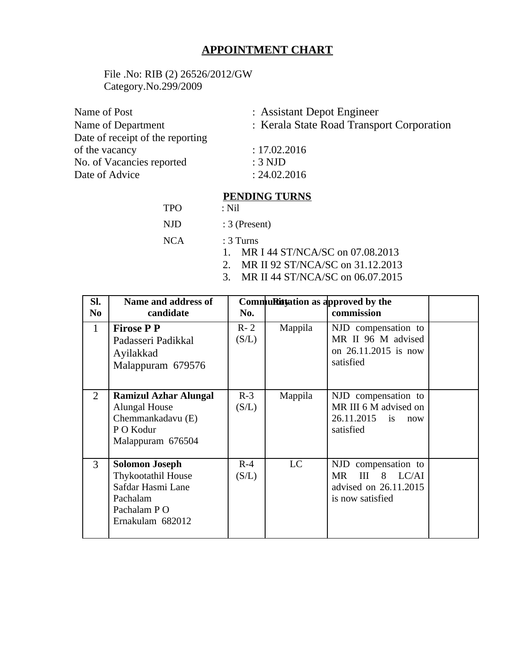# **APPOINTMENT CHART**

File .No: RIB (2) 26526/2012/GW Category.No.299/2009

| Name of Post                     | : Assistant Depot Engineer                |  |  |
|----------------------------------|-------------------------------------------|--|--|
| Name of Department               | : Kerala State Road Transport Corporation |  |  |
| Date of receipt of the reporting |                                           |  |  |
| of the vacancy                   | : 17.02.2016                              |  |  |
| No. of Vacancies reported        | $:3$ NJD                                  |  |  |
| Date of Advice                   | : 24.02.2016                              |  |  |
|                                  |                                           |  |  |

### **PENDING TURNS**

| <b>TPO</b> | : Nil                              |
|------------|------------------------------------|
| NJD.       | $:3$ (Present)                     |
| NCA        | $\therefore$ 3 Turns               |
|            | 1. MR I 44 ST/NCA/SC on 07.08.2013 |
|            | MR II 92 ST/NCA/SC on 31 12 2013   |

- 2. MR II 92 ST/NCA/SC on 31.12.2013
- 3. MR II 44 ST/NCA/SC on 06.07.2015

| SI.            | Name and address of                                                                                                    | CommuRityation as approved by the |         |                                                                                       |  |
|----------------|------------------------------------------------------------------------------------------------------------------------|-----------------------------------|---------|---------------------------------------------------------------------------------------|--|
| No.            | candidate                                                                                                              | No.                               |         | commission                                                                            |  |
| $\mathbf{1}$   | <b>Firose P P</b><br>Padasseri Padikkal<br>Ayilakkad<br>Malappuram 679576                                              | $R - 2$<br>(S/L)                  | Mappila | NJD compensation to<br>MR II 96 M advised<br>on 26.11.2015 is now<br>satisfied        |  |
| $\overline{2}$ | <b>Ramizul Azhar Alungal</b><br>Alungal House<br>Chemmankadavu (E)<br>P O Kodur<br>Malappuram 676504                   | $R-3$<br>(S/L)                    | Mappila | NJD compensation to<br>MR III 6 M advised on<br>26.11.2015 is<br>now<br>satisfied     |  |
| 3              | <b>Solomon Joseph</b><br><b>Thykootathil House</b><br>Safdar Hasmi Lane<br>Pachalam<br>Pachalam PO<br>Ernakulam 682012 | $R-4$<br>(S/L)                    | LC      | NJD compensation to<br>III 8 LC/AI<br>MR<br>advised on 26.11.2015<br>is now satisfied |  |